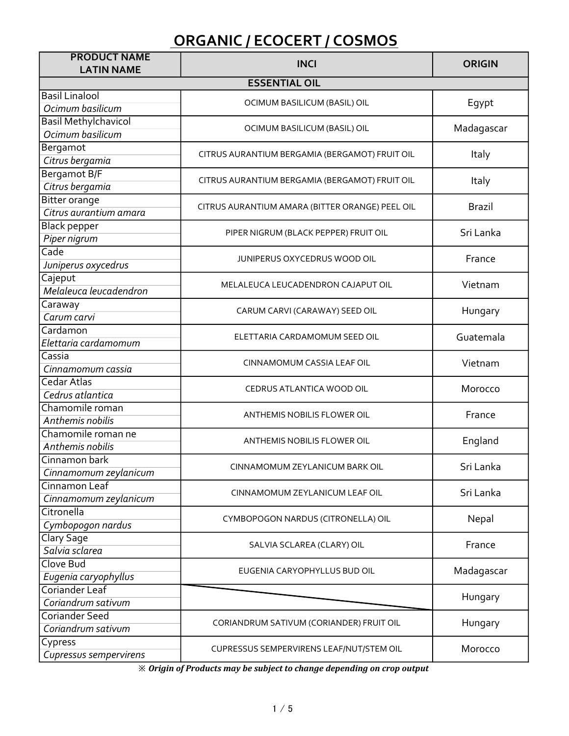| <b>PRODUCT NAME</b><br><b>LATIN NAME</b> | <b>INCI</b>                                     | <b>ORIGIN</b> |
|------------------------------------------|-------------------------------------------------|---------------|
|                                          | <b>ESSENTIAL OIL</b>                            |               |
| <b>Basil Linalool</b>                    |                                                 |               |
| Ocimum basilicum                         | OCIMUM BASILICUM (BASIL) OIL                    | Egypt         |
| <b>Basil Methylchavicol</b>              |                                                 | Madagascar    |
| Ocimum basilicum                         | OCIMUM BASILICUM (BASIL) OIL                    |               |
| Bergamot                                 |                                                 | Italy         |
| Citrus bergamia                          | CITRUS AURANTIUM BERGAMIA (BERGAMOT) FRUIT OIL  |               |
| Bergamot B/F                             | CITRUS AURANTIUM BERGAMIA (BERGAMOT) FRUIT OIL  | Italy         |
| Citrus bergamia                          |                                                 |               |
| <b>Bitter orange</b>                     | CITRUS AURANTIUM AMARA (BITTER ORANGE) PEEL OIL | <b>Brazil</b> |
| Citrus aurantium amara                   |                                                 |               |
| <b>Black pepper</b>                      | PIPER NIGRUM (BLACK PEPPER) FRUIT OIL           | Sri Lanka     |
| Piper nigrum                             |                                                 |               |
| Cade                                     | JUNIPERUS OXYCEDRUS WOOD OIL                    | France        |
| Juniperus oxycedrus                      |                                                 |               |
| Cajeput<br>Melaleuca leucadendron        | MELALEUCA LEUCADENDRON CAJAPUT OIL              | Vietnam       |
| Caraway                                  |                                                 |               |
| Carum carvi                              | CARUM CARVI (CARAWAY) SEED OIL                  | Hungary       |
| Cardamon                                 |                                                 |               |
| Elettaria cardamomum                     | ELETTARIA CARDAMOMUM SEED OIL                   | Guatemala     |
| Cassia                                   |                                                 |               |
| Cinnamomum cassia                        | CINNAMOMUM CASSIA LEAF OIL                      | Vietnam       |
| Cedar Atlas                              |                                                 |               |
| Cedrus atlantica                         | CEDRUS ATLANTICA WOOD OIL                       | Morocco       |
| Chamomile roman                          |                                                 |               |
| Anthemis nobilis                         | ANTHEMIS NOBILIS FLOWER OIL                     | France        |
| Chamomile roman ne                       | ANTHEMIS NOBILIS FLOWER OIL                     | England       |
| Anthemis nobilis                         |                                                 |               |
| Cinnamon bark                            | CINNAMOMUM ZEYLANICUM BARK OIL                  | Sri Lanka     |
| Cinnamomum zeylanicum                    |                                                 |               |
| Cinnamon Leaf                            | CINNAMOMUM ZEYLANICUM LEAF OIL                  | Sri Lanka     |
| Cinnamomum zeylanicum                    |                                                 |               |
| Citronella                               | CYMBOPOGON NARDUS (CITRONELLA) OIL              | Nepal         |
| Cymbopogon nardus<br>Clary Sage          |                                                 |               |
| Salvia sclarea                           | SALVIA SCLAREA (CLARY) OIL                      | France        |
| Clove Bud                                |                                                 |               |
| Eugenia caryophyllus                     | EUGENIA CARYOPHYLLUS BUD OIL                    | Madagascar    |
| Coriander Leaf                           |                                                 |               |
| Coriandrum sativum                       |                                                 | Hungary       |
| <b>Coriander Seed</b>                    |                                                 |               |
| Coriandrum sativum                       | CORIANDRUM SATIVUM (CORIANDER) FRUIT OIL        | Hungary       |
| Cypress                                  | CUPRESSUS SEMPERVIRENS LEAF/NUT/STEM OIL        | Morocco       |
| Cupressus sempervirens                   |                                                 |               |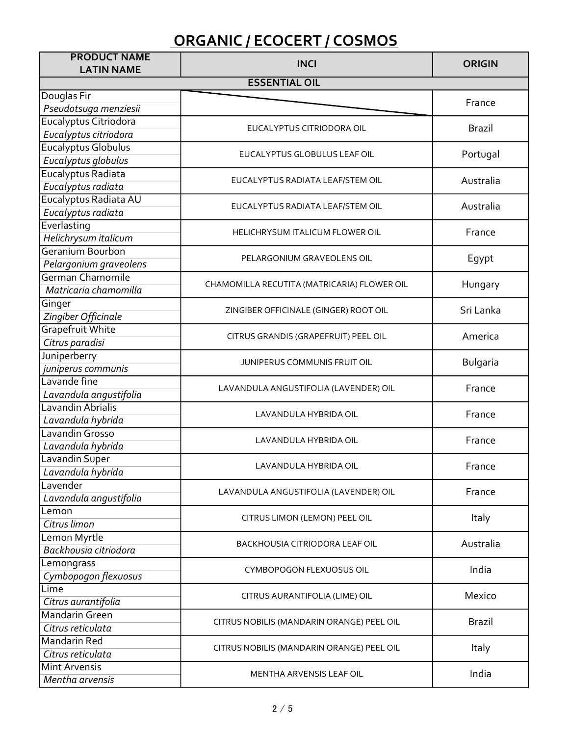| <b>PRODUCT NAME</b><br><b>LATIN NAME</b> | <b>INCI</b>                                 | <b>ORIGIN</b> |
|------------------------------------------|---------------------------------------------|---------------|
|                                          | <b>ESSENTIAL OIL</b>                        |               |
| Douglas Fir                              |                                             |               |
| Pseudotsuga menziesii                    |                                             | France        |
| Eucalyptus Citriodora                    |                                             |               |
| Eucalyptus citriodora                    | EUCALYPTUS CITRIODORA OIL                   | <b>Brazil</b> |
| Eucalyptus Globulus                      |                                             |               |
| Eucalyptus globulus                      | EUCALYPTUS GLOBULUS LEAF OIL                | Portugal      |
| Eucalyptus Radiata                       |                                             |               |
| Eucalyptus radiata                       | EUCALYPTUS RADIATA LEAF/STEM OIL            | Australia     |
| Eucalyptus Radiata AU                    |                                             |               |
| Eucalyptus radiata                       | EUCALYPTUS RADIATA LEAF/STEM OIL            | Australia     |
| Everlasting                              |                                             |               |
| Helichrysum italicum                     | HELICHRYSUM ITALICUM FLOWER OIL             | France        |
| Geranium Bourbon                         |                                             |               |
| Pelargonium graveolens                   | PELARGONIUM GRAVEOLENS OIL                  | Egypt         |
| German Chamomile                         |                                             |               |
| Matricaria chamomilla                    | CHAMOMILLA RECUTITA (MATRICARIA) FLOWER OIL | Hungary       |
| Ginger                                   | ZINGIBER OFFICINALE (GINGER) ROOT OIL       | Sri Lanka     |
| Zingiber Officinale                      |                                             |               |
| <b>Grapefruit White</b>                  | CITRUS GRANDIS (GRAPEFRUIT) PEEL OIL        | America       |
| Citrus paradisi                          |                                             |               |
| Juniperberry                             | JUNIPERUS COMMUNIS FRUIT OIL                | Bulgaria      |
| juniperus communis                       |                                             |               |
| Lavande fine                             | LAVANDULA ANGUSTIFOLIA (LAVENDER) OIL       | France        |
| Lavandula angustifolia                   |                                             |               |
| Lavandin Abrialis                        | LAVANDULA HYBRIDA OIL                       | France        |
| Lavandula hybrida                        |                                             |               |
| Lavandin Grosso                          | LAVANDULA HYBRIDA OIL                       | France        |
| Lavandula hybrida                        |                                             |               |
| Lavandin Super                           | LAVANDULA HYBRIDA OIL                       | France        |
| Lavandula hybrida                        |                                             |               |
| Lavender                                 | LAVANDULA ANGUSTIFOLIA (LAVENDER) OIL       | France        |
| Lavandula angustifolia                   |                                             |               |
| Lemon                                    | CITRUS LIMON (LEMON) PEEL OIL               | Italy         |
| Citrus limon                             |                                             |               |
| Lemon Myrtle                             | BACKHOUSIA CITRIODORA LEAF OIL              | Australia     |
| Backhousia citriodora                    |                                             |               |
| Lemongrass                               | <b>CYMBOPOGON FLEXUOSUS OIL</b>             | India         |
| Cymbopogon flexuosus                     |                                             |               |
| Lime                                     | CITRUS AURANTIFOLIA (LIME) OIL              | Mexico        |
| Citrus aurantifolia                      |                                             |               |
| Mandarin Green                           | CITRUS NOBILIS (MANDARIN ORANGE) PEEL OIL   | <b>Brazil</b> |
| Citrus reticulata                        |                                             |               |
| Mandarin Red                             | CITRUS NOBILIS (MANDARIN ORANGE) PEEL OIL   | Italy         |
| Citrus reticulata                        |                                             |               |
| <b>Mint Arvensis</b>                     | MENTHA ARVENSIS LEAF OIL                    | India         |
| Mentha arvensis                          |                                             |               |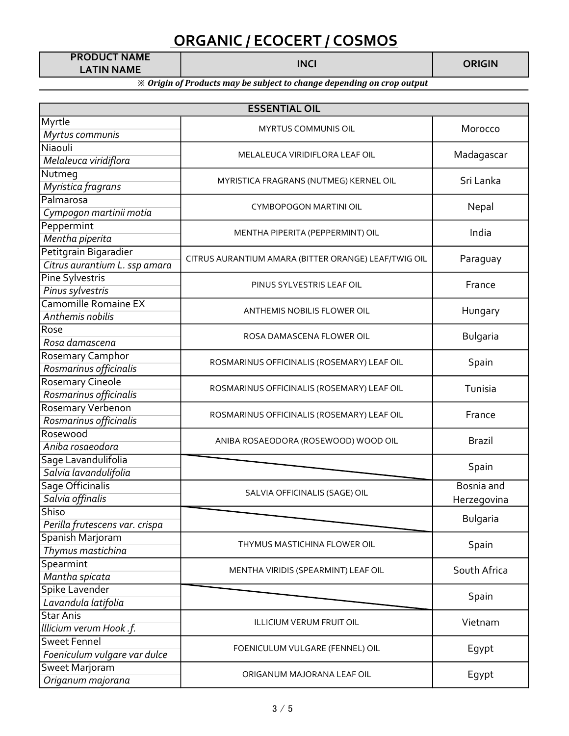PRODUCT NAME LATIN NAME

| <b>ESSENTIAL OIL</b>           |                                                      |               |  |
|--------------------------------|------------------------------------------------------|---------------|--|
| Myrtle                         | MYRTUS COMMUNIS OIL                                  | Morocco       |  |
| Myrtus communis                |                                                      |               |  |
| Niaouli                        | MELALEUCA VIRIDIFLORA LEAF OIL                       | Madagascar    |  |
| Melaleuca viridiflora          |                                                      |               |  |
| Nutmeg                         | MYRISTICA FRAGRANS (NUTMEG) KERNEL OIL               | Sri Lanka     |  |
| Myristica fragrans             |                                                      |               |  |
| Palmarosa                      | <b>CYMBOPOGON MARTINI OIL</b>                        | Nepal         |  |
| Cympogon martinii motia        |                                                      |               |  |
| Peppermint                     | MENTHA PIPERITA (PEPPERMINT) OIL                     | India         |  |
| Mentha piperita                |                                                      |               |  |
| Petitgrain Bigaradier          | CITRUS AURANTIUM AMARA (BITTER ORANGE) LEAF/TWIG OIL | Paraguay      |  |
| Citrus aurantium L. ssp amara  |                                                      |               |  |
| Pine Sylvestris                | PINUS SYLVESTRIS LEAF OIL                            | France        |  |
| Pinus sylvestris               |                                                      |               |  |
| Camomille Romaine EX           | <b>ANTHEMIS NOBILIS FLOWER OIL</b>                   | Hungary       |  |
| Anthemis nobilis               |                                                      |               |  |
| Rose                           | ROSA DAMASCENA FLOWER OIL                            | Bulgaria      |  |
| Rosa damascena                 |                                                      |               |  |
| Rosemary Camphor               | ROSMARINUS OFFICINALIS (ROSEMARY) LEAF OIL           | Spain         |  |
| Rosmarinus officinalis         |                                                      |               |  |
| <b>Rosemary Cineole</b>        | ROSMARINUS OFFICINALIS (ROSEMARY) LEAF OIL           | Tunisia       |  |
| Rosmarinus officinalis         |                                                      |               |  |
| Rosemary Verbenon              | ROSMARINUS OFFICINALIS (ROSEMARY) LEAF OIL           | France        |  |
| Rosmarinus officinalis         |                                                      |               |  |
| Rosewood                       | ANIBA ROSAEODORA (ROSEWOOD) WOOD OIL                 | <b>Brazil</b> |  |
| Aniba rosaeodora               |                                                      |               |  |
| Sage Lavandulifolia            |                                                      | Spain         |  |
| Salvia lavandulifolia          |                                                      |               |  |
| Sage Officinalis               | SALVIA OFFICINALIS (SAGE) OIL                        | Bosnia and    |  |
| Salvia offinalis               |                                                      | Herzegovina   |  |
| Shiso                          |                                                      | Bulgaria      |  |
| Perilla frutescens var. crispa |                                                      |               |  |
| Spanish Marjoram               | THYMUS MASTICHINA FLOWER OIL                         | Spain         |  |
| Thymus mastichina              |                                                      |               |  |
| Spearmint                      | MENTHA VIRIDIS (SPEARMINT) LEAF OIL                  | South Africa  |  |
| Mantha spicata                 |                                                      |               |  |
| Spike Lavender                 |                                                      | Spain         |  |
| Lavandula latifolia            |                                                      |               |  |
| <b>Star Anis</b>               | <b>ILLICIUM VERUM FRUIT OIL</b>                      | Vietnam       |  |
| Illicium verum Hook .f.        |                                                      |               |  |
| <b>Sweet Fennel</b>            | FOENICULUM VULGARE (FENNEL) OIL                      | Egypt         |  |
| Foeniculum vulgare var dulce   |                                                      |               |  |
| Sweet Marjoram                 | ORIGANUM MAJORANA LEAF OIL                           | Egypt         |  |
| Origanum majorana              |                                                      |               |  |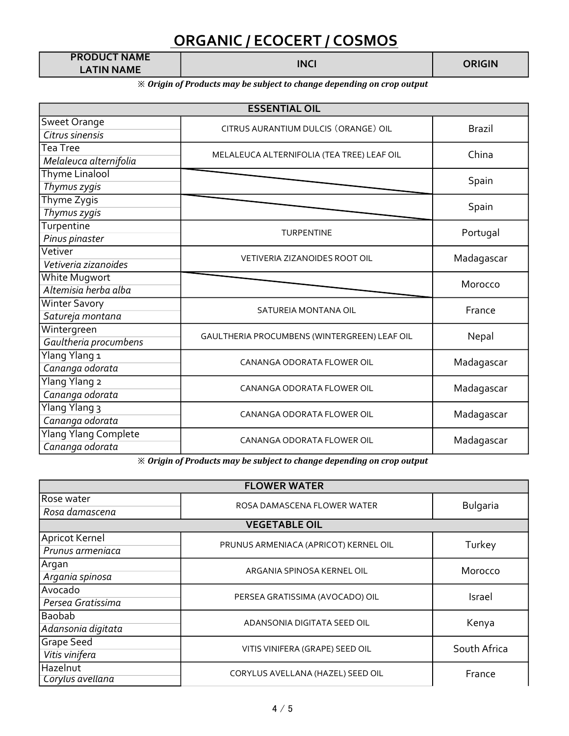| <b>PRODUCT NAME</b> |      |  |
|---------------------|------|--|
| <b>LATIN NAME</b>   | INCI |  |

#### ※ Origin of Products may be subject to change depending on crop output

| <b>ESSENTIAL OIL</b>        |                                              |               |
|-----------------------------|----------------------------------------------|---------------|
| Sweet Orange                | CITRUS AURANTIUM DULCIS (ORANGE) OIL         | <b>Brazil</b> |
| Citrus sinensis             |                                              |               |
| Tea Tree                    | MELALEUCA ALTERNIFOLIA (TEA TREE) LEAF OIL   | China         |
| Melaleuca alternifolia      |                                              |               |
| <b>Thyme Linalool</b>       |                                              | Spain         |
| Thymus zygis                |                                              |               |
| Thyme Zygis                 |                                              | Spain         |
| Thymus zygis                |                                              |               |
| Turpentine                  | <b>TURPENTINE</b>                            | Portugal      |
| Pinus pinaster              |                                              |               |
| Vetiver                     | <b>VETIVERIA ZIZANOIDES ROOT OIL</b>         | Madagascar    |
| Vetiveria zizanoides        |                                              |               |
| White Mugwort               |                                              | Morocco       |
| Altemisia herba alba        |                                              |               |
| <b>Winter Savory</b>        | SATUREIA MONTANA OIL                         | France        |
| Satureja montana            |                                              |               |
| Wintergreen                 | GAULTHERIA PROCUMBENS (WINTERGREEN) LEAF OIL | Nepal         |
| Gaultheria procumbens       |                                              |               |
| Ylang Ylang 1               | CANANGA ODORATA FLOWER OIL                   | Madagascar    |
| Cananga odorata             |                                              |               |
| Ylang Ylang 2               | CANANGA ODORATA FLOWER OIL                   | Madagascar    |
| Cananga odorata             |                                              |               |
| Ylang Ylang 3               | CANANGA ODORATA FLOWER OIL                   | Madagascar    |
| Cananga odorata             |                                              |               |
| <b>Ylang Ylang Complete</b> | CANANGA ODORATA FLOWER OIL                   | Madagascar    |
| Cananga odorata             |                                              |               |

| <b>FLOWER WATER</b> |                                       |                 |
|---------------------|---------------------------------------|-----------------|
| Rose water          |                                       |                 |
| Rosa damascena      | ROSA DAMASCENA FLOWER WATER           | <b>Bulgaria</b> |
|                     | <b>VEGETABLE OIL</b>                  |                 |
| Apricot Kernel      | PRUNUS ARMENIACA (APRICOT) KERNEL OIL | Turkey          |
| Prunus armeniaca    |                                       |                 |
| Argan               | ARGANIA SPINOSA KERNEL OIL            | Morocco         |
| Argania spinosa     |                                       |                 |
| Avocado             | PERSEA GRATISSIMA (AVOCADO) OIL       | Israel          |
| Persea Gratissima   |                                       |                 |
| Baobab              | ADANSONIA DIGITATA SEED OIL           | Kenya           |
| Adansonia digitata  |                                       |                 |
| <b>Grape Seed</b>   | VITIS VINIFERA (GRAPE) SEED OIL       | South Africa    |
| Vitis vinifera      |                                       |                 |
| Hazelnut            | CORYLUS AVELLANA (HAZEL) SEED OIL     | France          |
| Corylus avellana    |                                       |                 |